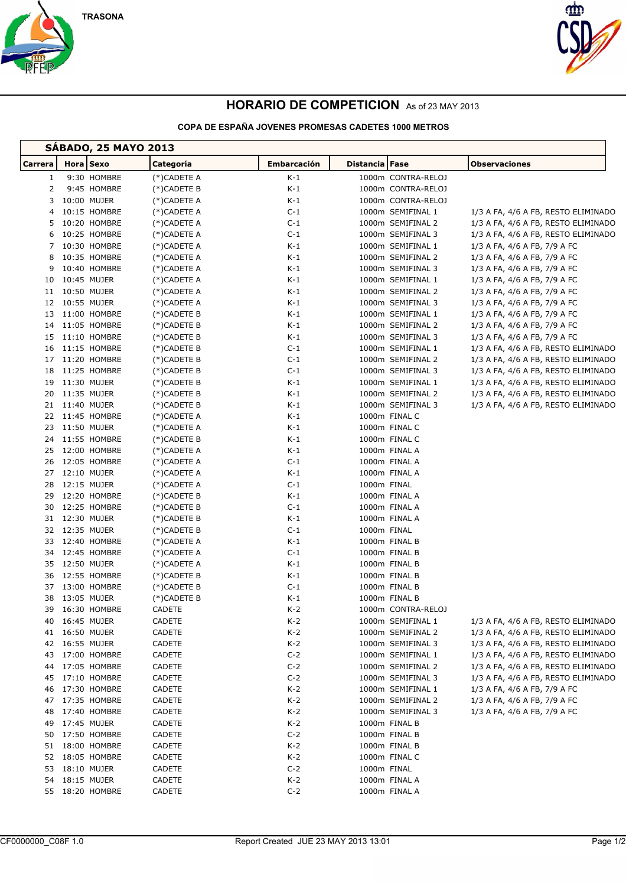



## **HORARIO DE COMPETICION** As of 23 MAY 2013

## **COPA DE ESPAÑA JOVENES PROMESAS CADETES 1000 METROS**

| <b>SABADO, 25 MAYO 2013</b> |                              |             |                            |                    |                                        |                                                                            |  |  |  |  |  |
|-----------------------------|------------------------------|-------------|----------------------------|--------------------|----------------------------------------|----------------------------------------------------------------------------|--|--|--|--|--|
| Carrera                     | Hora Sexo                    |             | Categoría                  | <b>Embarcación</b> | <b>Distancia</b> Fase                  | <b>Observaciones</b>                                                       |  |  |  |  |  |
| $\mathbf{1}$                |                              | 9:30 HOMBRE | (*)CADETE A                | $K-1$              | 1000m CONTRA-RELOJ                     |                                                                            |  |  |  |  |  |
| 2                           |                              | 9:45 HOMBRE | (*)CADETE B                | $K-1$              | 1000m CONTRA-RELOJ                     |                                                                            |  |  |  |  |  |
| 3                           | 10:00 MUJER                  |             | $(*)$ CADETE A             | K-1                | 1000m CONTRA-RELOJ                     |                                                                            |  |  |  |  |  |
| 4                           | 10:15 HOMBRE                 |             | (*)CADETE A                | $C-1$              | 1000m SEMIFINAL 1                      | 1/3 A FA, 4/6 A FB, RESTO ELIMINADO                                        |  |  |  |  |  |
| 5                           | 10:20 HOMBRE                 |             | (*)CADETE A                | $C-1$              | 1000m SEMIFINAL 2                      | 1/3 A FA, 4/6 A FB, RESTO ELIMINADO                                        |  |  |  |  |  |
| 6                           | 10:25 HOMBRE                 |             | (*)CADETE A                | $C-1$              | 1000m SEMIFINAL 3                      | 1/3 A FA, 4/6 A FB, RESTO ELIMINADO                                        |  |  |  |  |  |
| $7^{\circ}$                 | 10:30 HOMBRE                 |             | (*)CADETE A                | K-1                | 1000m SEMIFINAL 1                      | 1/3 A FA, 4/6 A FB, 7/9 A FC                                               |  |  |  |  |  |
| 8                           | 10:35 HOMBRE                 |             | $(*)$ CADETE A             | K-1                | 1000m SEMIFINAL 2                      | 1/3 A FA, 4/6 A FB, 7/9 A FC                                               |  |  |  |  |  |
| 9                           | 10:40 HOMBRE                 |             | $(*)$ CADETE A             | K-1                | 1000m SEMIFINAL 3                      | 1/3 A FA, 4/6 A FB, 7/9 A FC                                               |  |  |  |  |  |
| 10                          | 10:45 MUJER                  |             | (*)CADETE A                | K-1                | 1000m SEMIFINAL 1                      | 1/3 A FA, 4/6 A FB, 7/9 A FC                                               |  |  |  |  |  |
|                             | 11 10:50 MUJER               |             | (*)CADETE A                | K-1                | 1000m SEMIFINAL 2                      | 1/3 A FA, 4/6 A FB, 7/9 A FC                                               |  |  |  |  |  |
|                             | 12 10:55 MUJER               |             | (*)CADETE A                | K-1                | 1000m SEMIFINAL 3                      | 1/3 A FA, 4/6 A FB, 7/9 A FC                                               |  |  |  |  |  |
| 13                          | 11:00 HOMBRE                 |             | $(*)$ CADETE B             | K-1                | 1000m SEMIFINAL 1                      | 1/3 A FA, 4/6 A FB, 7/9 A FC                                               |  |  |  |  |  |
| 14                          | 11:05 HOMBRE                 |             | $(*)$ CADETE B             | K-1                | 1000m SEMIFINAL 2                      | 1/3 A FA, 4/6 A FB, 7/9 A FC                                               |  |  |  |  |  |
| 15                          | 11:10 HOMBRE                 |             | $(*)$ CADETE B             | K-1                | 1000m SEMIFINAL 3                      | 1/3 A FA, 4/6 A FB, 7/9 A FC                                               |  |  |  |  |  |
| 16                          | 11:15 HOMBRE                 |             | (*)CADETE B                | $C-1$              | 1000m SEMIFINAL 1                      | 1/3 A FA, 4/6 A FB, RESTO ELIMINADO                                        |  |  |  |  |  |
| 17<br>18                    | 11:20 HOMBRE<br>11:25 HOMBRE |             | (*)CADETE B                | $C-1$<br>$C-1$     | 1000m SEMIFINAL 2<br>1000m SEMIFINAL 3 | 1/3 A FA, 4/6 A FB, RESTO ELIMINADO                                        |  |  |  |  |  |
| 19                          | 11:30 MUJER                  |             | $(*)$ CADETE B             | K-1                | 1000m SEMIFINAL 1                      | 1/3 A FA, 4/6 A FB, RESTO ELIMINADO<br>1/3 A FA, 4/6 A FB, RESTO ELIMINADO |  |  |  |  |  |
| 20                          | 11:35 MUJER                  |             | (*)CADETE B<br>(*)CADETE B | K-1                | 1000m SEMIFINAL 2                      | 1/3 A FA, 4/6 A FB, RESTO ELIMINADO                                        |  |  |  |  |  |
|                             | 21 11:40 MUJER               |             | (*)CADETE B                | K-1                | 1000m SEMIFINAL 3                      | 1/3 A FA, 4/6 A FB, RESTO ELIMINADO                                        |  |  |  |  |  |
| 22                          | 11:45 HOMBRE                 |             | (*)CADETE A                | K-1                | 1000m FINAL C                          |                                                                            |  |  |  |  |  |
| 23                          | 11:50 MUJER                  |             | (*)CADETE A                | K-1                | 1000m FINAL C                          |                                                                            |  |  |  |  |  |
|                             | 24 11:55 HOMBRE              |             | $(*)$ CADETE B             | K-1                | 1000m FINAL C                          |                                                                            |  |  |  |  |  |
| 25                          | 12:00 HOMBRE                 |             | (*)CADETE A                | K-1                | 1000m FINAL A                          |                                                                            |  |  |  |  |  |
| 26                          | 12:05 HOMBRE                 |             | (*)CADETE A                | $C-1$              | 1000m FINAL A                          |                                                                            |  |  |  |  |  |
| 27                          | 12:10 MUJER                  |             | (*)CADETE A                | K-1                | 1000m FINAL A                          |                                                                            |  |  |  |  |  |
| 28                          | 12:15 MUJER                  |             | (*)CADETE A                | $C-1$              | 1000m FINAL                            |                                                                            |  |  |  |  |  |
| 29                          | 12:20 HOMBRE                 |             | $(*)$ CADETE B             | K-1                | 1000m FINAL A                          |                                                                            |  |  |  |  |  |
| 30                          | 12:25 HOMBRE                 |             | (*)CADETE B                | $C-1$              | 1000m FINAL A                          |                                                                            |  |  |  |  |  |
|                             | 31 12:30 MUJER               |             | (*)CADETE B                | K-1                | 1000m FINAL A                          |                                                                            |  |  |  |  |  |
|                             | 32 12:35 MUJER               |             | (*)CADETE B                | C-1                | 1000m FINAL                            |                                                                            |  |  |  |  |  |
| 33                          | 12:40 HOMBRE                 |             | $(*)$ CADETE A             | K-1                | 1000m FINAL B                          |                                                                            |  |  |  |  |  |
|                             | 34 12:45 HOMBRE              |             | $(*)$ CADETE A             | $C-1$              | 1000m FINAL B                          |                                                                            |  |  |  |  |  |
| 35                          | 12:50 MUJER                  |             | (*)CADETE A                | K-1                | 1000m FINAL B                          |                                                                            |  |  |  |  |  |
| 36                          | 12:55 HOMBRE                 |             | $(*)$ CADETE B             | K-1                | 1000m FINAL B                          |                                                                            |  |  |  |  |  |
| 37                          | 13:00 HOMBRE                 |             | (*)CADETE B                | C-1                | 1000m FINAL B                          |                                                                            |  |  |  |  |  |
| 38                          | 13:05 MUJER                  |             | (*)CADETE B                | K-1                | 1000m FINAL B                          |                                                                            |  |  |  |  |  |
|                             | 39 16:30 HOMBRE              |             | CADETE                     | $K-2$              | 1000m CONTRA-RELOJ                     |                                                                            |  |  |  |  |  |
| 40                          | 16:45 MUJER                  |             | CADETE                     | K-2                | 1000m SEMIFINAL 1                      | 1/3 A FA, 4/6 A FB, RESTO ELIMINADO                                        |  |  |  |  |  |
|                             | 41 16:50 MUJER               |             | CADETE                     | $K-2$              | 1000m SEMIFINAL 2                      | 1/3 A FA, 4/6 A FB, RESTO ELIMINADO                                        |  |  |  |  |  |
|                             | 42 16:55 MUJER               |             | CADETE                     | K-2                | 1000m SEMIFINAL 3                      | 1/3 A FA, 4/6 A FB, RESTO ELIMINADO                                        |  |  |  |  |  |
| 43                          | 17:00 HOMBRE                 |             | CADETE                     | $C-2$              | 1000m SEMIFINAL 1                      | 1/3 A FA, 4/6 A FB, RESTO ELIMINADO                                        |  |  |  |  |  |
| 44                          | 17:05 HOMBRE                 |             | CADETE                     | $C-2$              | 1000m SEMIFINAL 2                      | 1/3 A FA, 4/6 A FB, RESTO ELIMINADO                                        |  |  |  |  |  |
| 45                          | 17:10 HOMBRE                 |             | CADETE                     | $C-2$              | 1000m SEMIFINAL 3                      | 1/3 A FA, 4/6 A FB, RESTO ELIMINADO                                        |  |  |  |  |  |
| 46                          | 17:30 HOMBRE                 |             | CADETE                     | K-2                | 1000m SEMIFINAL 1                      | 1/3 A FA, 4/6 A FB, 7/9 A FC                                               |  |  |  |  |  |
| 47                          | 17:35 HOMBRE                 |             | CADETE                     | K-2                | 1000m SEMIFINAL 2                      | 1/3 A FA, 4/6 A FB, 7/9 A FC                                               |  |  |  |  |  |
| 48                          | 17:40 HOMBRE                 |             | CADETE                     | $K-2$              | 1000m SEMIFINAL 3                      | 1/3 A FA, 4/6 A FB, 7/9 A FC                                               |  |  |  |  |  |
| 49                          | 17:45 MUJER                  |             | CADETE                     | K-2                | 1000m FINAL B                          |                                                                            |  |  |  |  |  |
| 50                          | 17:50 HOMBRE                 |             | CADETE                     | $C-2$              | 1000m FINAL B                          |                                                                            |  |  |  |  |  |
|                             | 51 18:00 HOMBRE              |             | CADETE                     | K-2                | 1000m FINAL B                          |                                                                            |  |  |  |  |  |
|                             | 52 18:05 HOMBRE              |             | CADETE                     | K-2                | 1000m FINAL C                          |                                                                            |  |  |  |  |  |
| 53                          | 18:10 MUJER                  |             | CADETE                     | $C-2$              | 1000m FINAL                            |                                                                            |  |  |  |  |  |
|                             | 54 18:15 MUJER               |             | CADETE                     | K-2                | 1000m FINAL A                          |                                                                            |  |  |  |  |  |
|                             | 55 18:20 HOMBRE              |             | CADETE                     | $C-2$              | 1000m FINAL A                          |                                                                            |  |  |  |  |  |